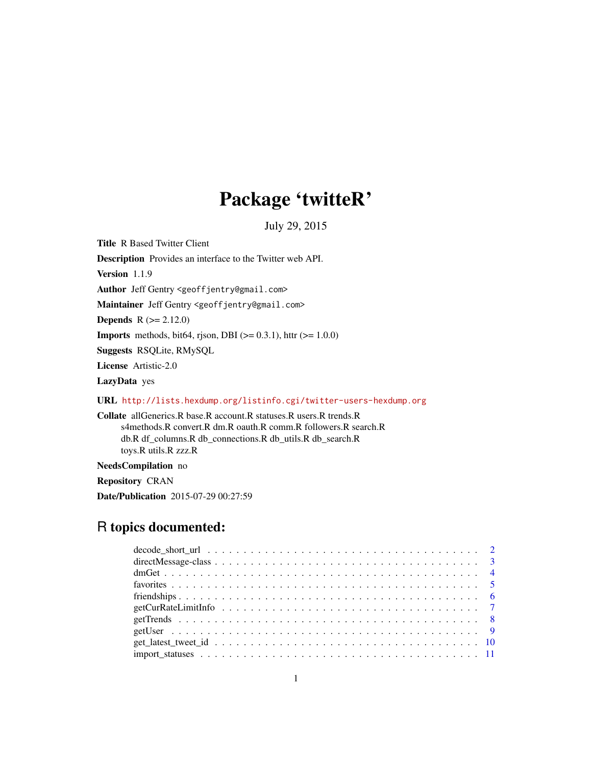# Package 'twitteR'

July 29, 2015

<span id="page-0-0"></span>Title R Based Twitter Client

Description Provides an interface to the Twitter web API.

Version 1.1.9

Author Jeff Gentry <geoffjentry@gmail.com>

Maintainer Jeff Gentry <geoffjentry@gmail.com>

**Depends**  $R (= 2.12.0)$ 

**Imports** methods, bit64, rjson, DBI ( $>= 0.3.1$ ), httr ( $>= 1.0.0$ )

Suggests RSQLite, RMySQL

License Artistic-2.0

LazyData yes

URL <http://lists.hexdump.org/listinfo.cgi/twitter-users-hexdump.org>

Collate allGenerics.R base.R account.R statuses.R users.R trends.R s4methods.R convert.R dm.R oauth.R comm.R followers.R search.R db.R df\_columns.R db\_connections.R db\_utils.R db\_search.R toys.R utils.R zzz.R

NeedsCompilation no

Repository CRAN

Date/Publication 2015-07-29 00:27:59

# R topics documented: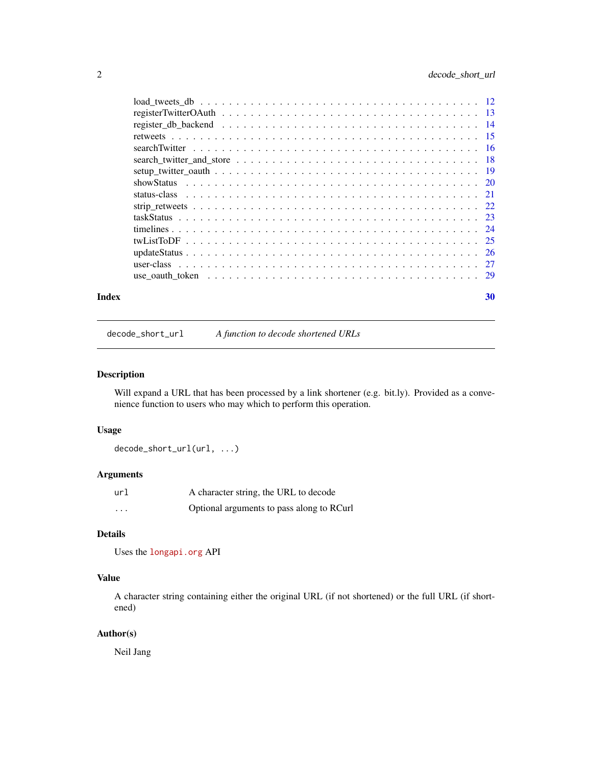<span id="page-1-0"></span>

| Index | 30 |
|-------|----|
|       |    |
|       |    |
|       |    |
|       |    |
|       |    |
|       |    |
|       |    |
|       |    |
|       |    |
|       |    |
|       |    |
|       |    |
|       |    |
|       |    |
|       |    |
|       |    |

decode\_short\_url *A function to decode shortened URLs*

# Description

Will expand a URL that has been processed by a link shortener (e.g. bit.ly). Provided as a convenience function to users who may which to perform this operation.

# Usage

decode\_short\_url(url, ...)

# Arguments

| url      | A character string, the URL to decode     |
|----------|-------------------------------------------|
| $\cdots$ | Optional arguments to pass along to RCurl |

# Details

```
Uses the longapi.org API
```
# Value

A character string containing either the original URL (if not shortened) or the full URL (if shortened)

# Author(s)

Neil Jang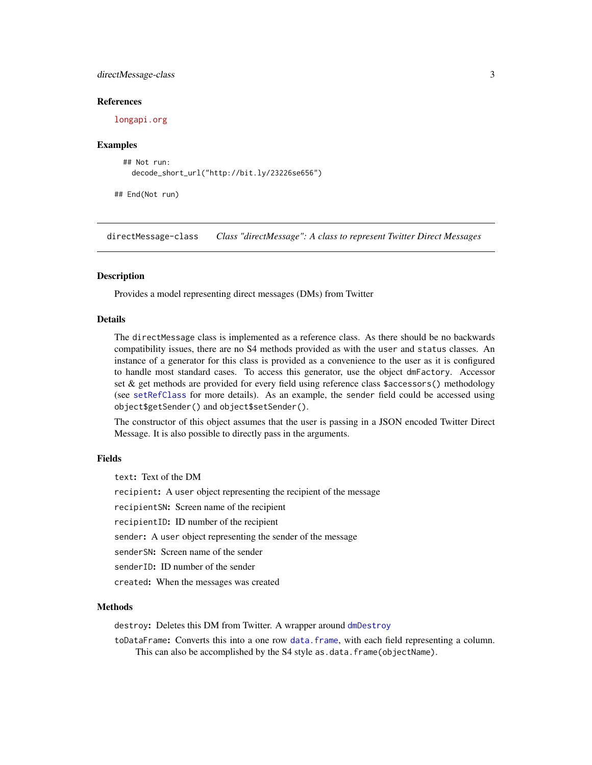# <span id="page-2-0"></span>directMessage-class 3

#### References

<longapi.org>

#### Examples

```
## Not run:
  decode_short_url("http://bit.ly/23226se656")
```
## End(Not run)

directMessage-class *Class "directMessage": A class to represent Twitter Direct Messages*

# <span id="page-2-1"></span>Description

Provides a model representing direct messages (DMs) from Twitter

### Details

The directMessage class is implemented as a reference class. As there should be no backwards compatibility issues, there are no S4 methods provided as with the user and status classes. An instance of a generator for this class is provided as a convenience to the user as it is configured to handle most standard cases. To access this generator, use the object dmFactory. Accessor set & get methods are provided for every field using reference class \$accessors() methodology (see [setRefClass](#page-0-0) for more details). As an example, the sender field could be accessed using object\$getSender() and object\$setSender().

The constructor of this object assumes that the user is passing in a JSON encoded Twitter Direct Message. It is also possible to directly pass in the arguments.

#### Fields

text: Text of the DM recipient: A user object representing the recipient of the message recipientSN: Screen name of the recipient recipientID: ID number of the recipient sender: A user object representing the sender of the message senderSN: Screen name of the sender senderID: ID number of the sender created: When the messages was created

#### Methods

destroy: Deletes this DM from Twitter. A wrapper around [dmDestroy](#page-3-1)

toDataFrame: Converts this into a one row [data.frame](#page-0-0), with each field representing a column. This can also be accomplished by the S4 style as.data.frame(objectName).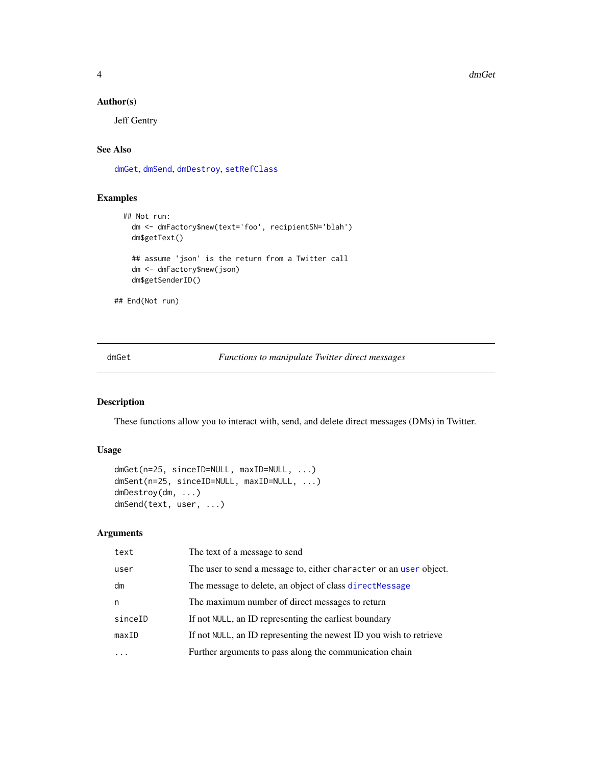<span id="page-3-0"></span>4 dmGet

### Author(s)

Jeff Gentry

# See Also

[dmGet](#page-3-2), [dmSend](#page-3-1), [dmDestroy](#page-3-1), [setRefClass](#page-0-0)

# Examples

```
## Not run:
 dm <- dmFactory$new(text='foo', recipientSN='blah')
  dm$getText()
  ## assume 'json' is the return from a Twitter call
  dm <- dmFactory$new(json)
  dm$getSenderID()
```
## End(Not run)

<span id="page-3-2"></span>dmGet *Functions to manipulate Twitter direct messages*

# <span id="page-3-1"></span>Description

These functions allow you to interact with, send, and delete direct messages (DMs) in Twitter.

#### Usage

```
dmGet(n=25, sinceID=NULL, maxID=NULL, ...)
dmSent(n=25, sinceID=NULL, maxID=NULL, ...)
dmDestroy(dm, ...)
dmSend(text, user, ...)
```
#### Arguments

| text    | The text of a message to send                                      |
|---------|--------------------------------------------------------------------|
| user    | The user to send a message to, either character or an user object. |
| dm      | The message to delete, an object of class directMessage            |
| n       | The maximum number of direct messages to return                    |
| sinceID | If not NULL, an ID representing the earliest boundary              |
| maxID   | If not NULL, an ID representing the newest ID you wish to retrieve |
|         | Further arguments to pass along the communication chain            |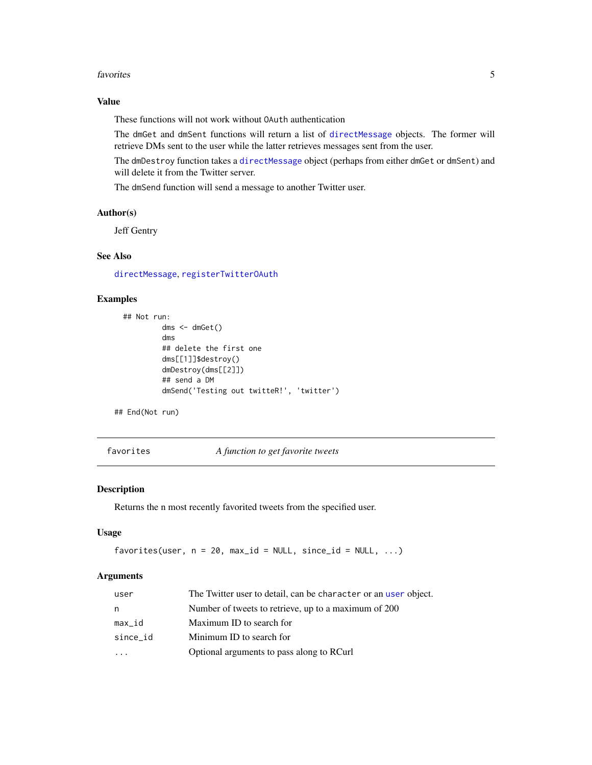#### <span id="page-4-0"></span>favorites 5

# Value

These functions will not work without OAuth authentication

The dmGet and dmSent functions will return a list of [directMessage](#page-2-1) objects. The former will retrieve DMs sent to the user while the latter retrieves messages sent from the user.

The dmDestroy function takes a [directMessage](#page-2-1) object (perhaps from either dmGet or dmSent) and will delete it from the Twitter server.

The dmSend function will send a message to another Twitter user.

# Author(s)

Jeff Gentry

# See Also

[directMessage](#page-2-1), [registerTwitterOAuth](#page-12-1)

# Examples

```
## Not run:
         dms <- dmGet()
         dms
         ## delete the first one
         dms[[1]]$destroy()
         dmDestroy(dms[[2]])
         ## send a DM
         dmSend('Testing out twitteR!', 'twitter')
```
## End(Not run)

favorites *A function to get favorite tweets*

# Description

Returns the n most recently favorited tweets from the specified user.

#### Usage

```
favorites(user, n = 20, max_id = NULL, since_id = NULL, ...)
```
#### Arguments

| user                    | The Twitter user to detail, can be character or an user object. |
|-------------------------|-----------------------------------------------------------------|
| n                       | Number of tweets to retrieve, up to a maximum of 200            |
| max_id                  | Maximum ID to search for                                        |
| since_id                | Minimum ID to search for                                        |
| $\cdot$ $\cdot$ $\cdot$ | Optional arguments to pass along to RCurl                       |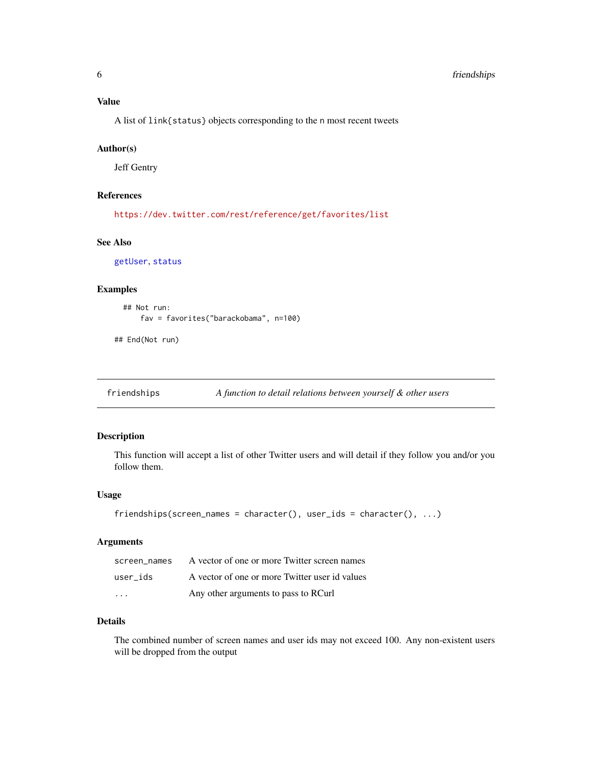<span id="page-5-0"></span>A list of link{status} objects corresponding to the n most recent tweets

#### Author(s)

Jeff Gentry

# References

<https://dev.twitter.com/rest/reference/get/favorites/list>

#### See Also

[getUser](#page-8-1), [status](#page-20-1)

#### Examples

```
## Not run:
    fav = favorites("barackobama", n=100)
```
## End(Not run)

friendships *A function to detail relations between yourself & other users*

#### Description

This function will accept a list of other Twitter users and will detail if they follow you and/or you follow them.

# Usage

```
friendships(screen_names = character(), user_ids = character(), ...)
```
# Arguments

| screen names | A vector of one or more Twitter screen names   |
|--------------|------------------------------------------------|
| user ids     | A vector of one or more Twitter user id values |
| $\cdots$     | Any other arguments to pass to RCurl           |

# Details

The combined number of screen names and user ids may not exceed 100. Any non-existent users will be dropped from the output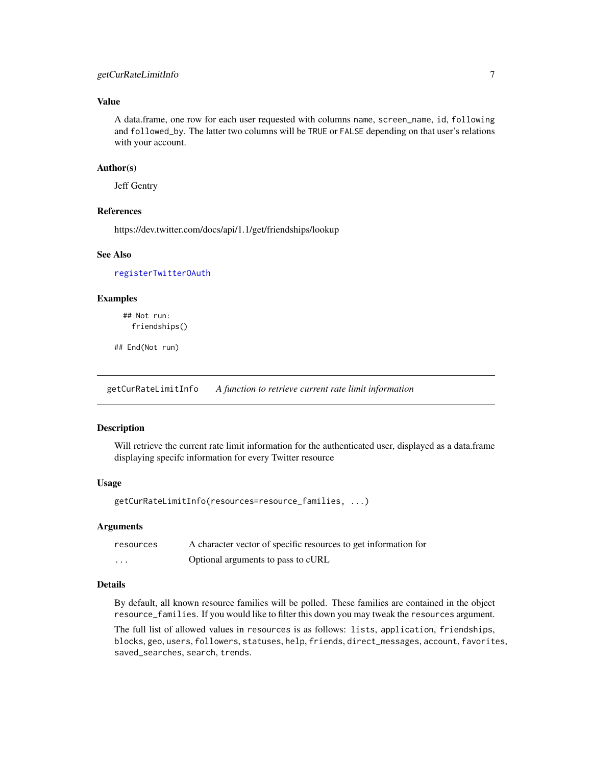# <span id="page-6-0"></span>getCurRateLimitInfo 7

# Value

A data.frame, one row for each user requested with columns name, screen\_name, id, following and followed\_by. The latter two columns will be TRUE or FALSE depending on that user's relations with your account.

#### Author(s)

Jeff Gentry

#### References

https://dev.twitter.com/docs/api/1.1/get/friendships/lookup

#### See Also

[registerTwitterOAuth](#page-12-1)

#### Examples

## Not run: friendships()

## End(Not run)

getCurRateLimitInfo *A function to retrieve current rate limit information*

#### Description

Will retrieve the current rate limit information for the authenticated user, displayed as a data.frame displaying specifc information for every Twitter resource

#### Usage

```
getCurRateLimitInfo(resources=resource_families, ...)
```
#### Arguments

| resources | A character vector of specific resources to get information for |
|-----------|-----------------------------------------------------------------|
| .         | Optional arguments to pass to cURL                              |

#### Details

By default, all known resource families will be polled. These families are contained in the object resource\_families. If you would like to filter this down you may tweak the resources argument.

The full list of allowed values in resources is as follows: lists, application, friendships, blocks, geo, users, followers, statuses, help, friends, direct\_messages, account, favorites, saved\_searches, search, trends.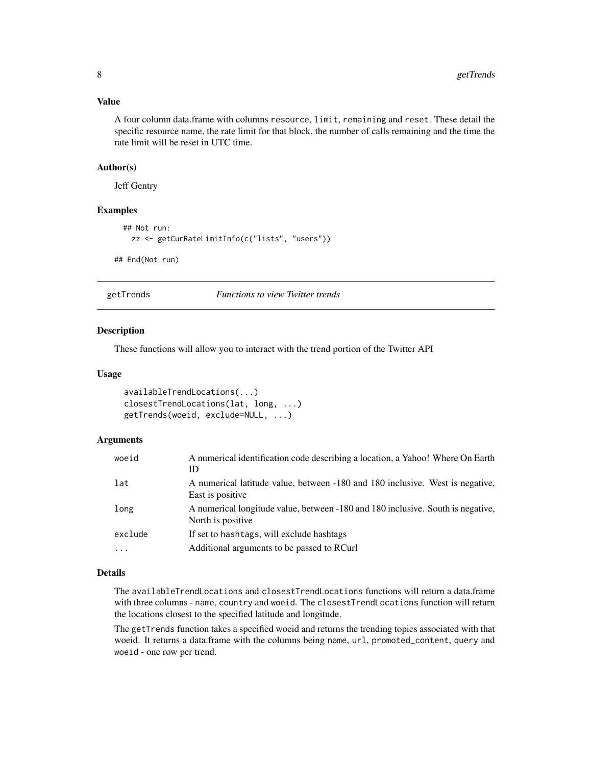#### <span id="page-7-0"></span>Value

A four column data.frame with columns resource, limit, remaining and reset. These detail the specific resource name, the rate limit for that block, the number of calls remaining and the time the rate limit will be reset in UTC time.

#### Author(s)

Jeff Gentry

#### Examples

```
## Not run:
   zz <- getCurRateLimitInfo(c("lists", "users"))
## End(Not run)
```
getTrends *Functions to view Twitter trends*

#### Description

These functions will allow you to interact with the trend portion of the Twitter API

#### Usage

```
availableTrendLocations(...)
closestTrendLocations(lat, long, ...)
getTrends(woeid, exclude=NULL, ...)
```
# Arguments

| woeid    | A numerical identification code describing a location, a Yahoo! Where On Earth<br>ID                  |
|----------|-------------------------------------------------------------------------------------------------------|
| lat      | A numerical latitude value, between -180 and 180 inclusive. West is negative,<br>East is positive.    |
| long     | A numerical longitude value, between -180 and 180 inclusive. South is negative,<br>North is positive. |
| exclude  | If set to hashtags, will exclude hashtags                                                             |
| $\cdots$ | Additional arguments to be passed to RCurl                                                            |

# Details

The availableTrendLocations and closestTrendLocations functions will return a data.frame with three columns - name, country and woeid. The closestTrendLocations function will return the locations closest to the specified latitude and longitude.

The getTrends function takes a specified woeid and returns the trending topics associated with that woeid. It returns a data.frame with the columns being name, url, promoted\_content, query and woeid - one row per trend.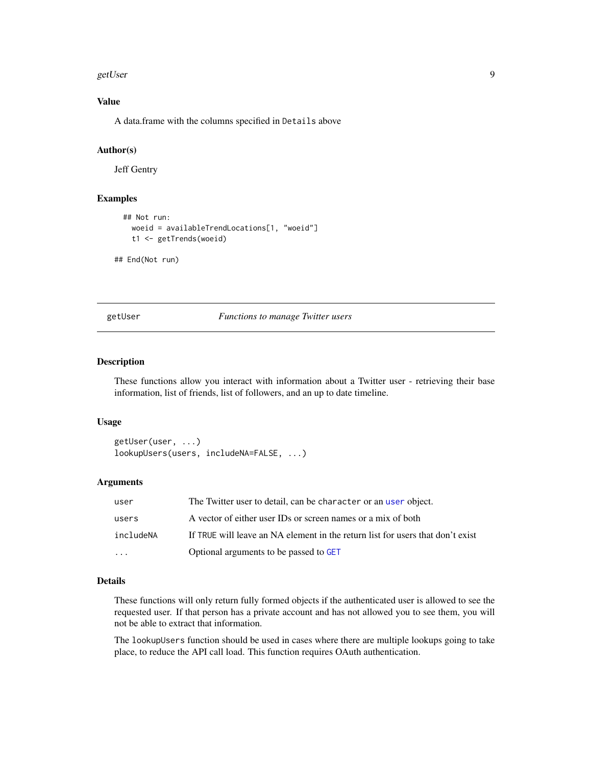#### <span id="page-8-0"></span>getUser 9

# Value

A data.frame with the columns specified in Details above

#### Author(s)

Jeff Gentry

#### Examples

```
## Not run:
   woeid = availableTrendLocations[1, "woeid"]
   t1 <- getTrends(woeid)
## End(Not run)
```
<span id="page-8-1"></span>getUser *Functions to manage Twitter users*

# Description

These functions allow you interact with information about a Twitter user - retrieving their base information, list of friends, list of followers, and an up to date timeline.

#### Usage

```
getUser(user, ...)
lookupUsers(users, includeNA=FALSE, ...)
```
#### Arguments

| user      | The Twitter user to detail, can be character or an user object.                |
|-----------|--------------------------------------------------------------------------------|
| users     | A vector of either user IDs or screen names or a mix of both                   |
| includeNA | If TRUE will leave an NA element in the return list for users that don't exist |
| $\cdots$  | Optional arguments to be passed to GET                                         |

#### Details

These functions will only return fully formed objects if the authenticated user is allowed to see the requested user. If that person has a private account and has not allowed you to see them, you will not be able to extract that information.

The lookupUsers function should be used in cases where there are multiple lookups going to take place, to reduce the API call load. This function requires OAuth authentication.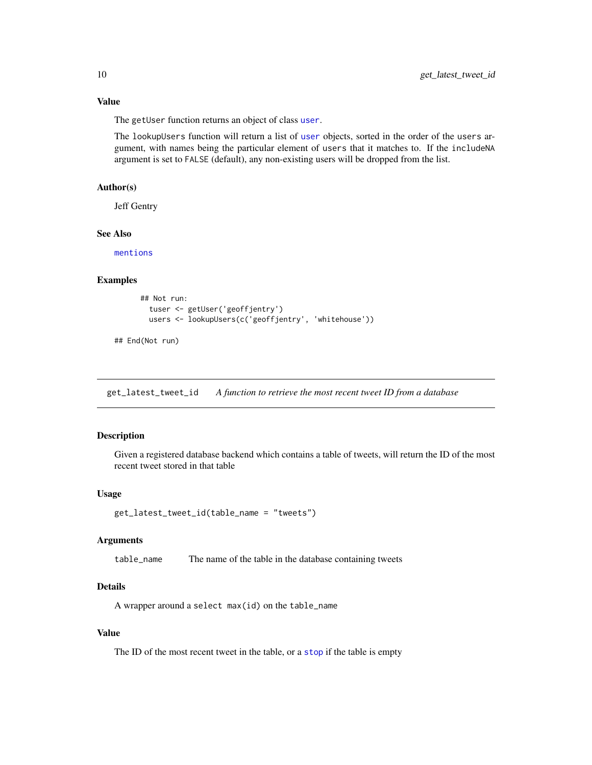# <span id="page-9-0"></span>Value

The getUser function returns an object of class [user](#page-26-1).

The lookupUsers function will return a list of [user](#page-26-1) objects, sorted in the order of the users argument, with names being the particular element of users that it matches to. If the includeNA argument is set to FALSE (default), any non-existing users will be dropped from the list.

### Author(s)

Jeff Gentry

# See Also

[mentions](#page-23-1)

#### Examples

```
## Not run:
  tuser <- getUser('geoffjentry')
  users <- lookupUsers(c('geoffjentry', 'whitehouse'))
```
## End(Not run)

get\_latest\_tweet\_id *A function to retrieve the most recent tweet ID from a database*

# Description

Given a registered database backend which contains a table of tweets, will return the ID of the most recent tweet stored in that table

# Usage

```
get_latest_tweet_id(table_name = "tweets")
```
#### Arguments

table\_name The name of the table in the database containing tweets

#### Details

A wrapper around a select max(id) on the table\_name

# Value

The ID of the most recent tweet in the table, or a [stop](#page-0-0) if the table is empty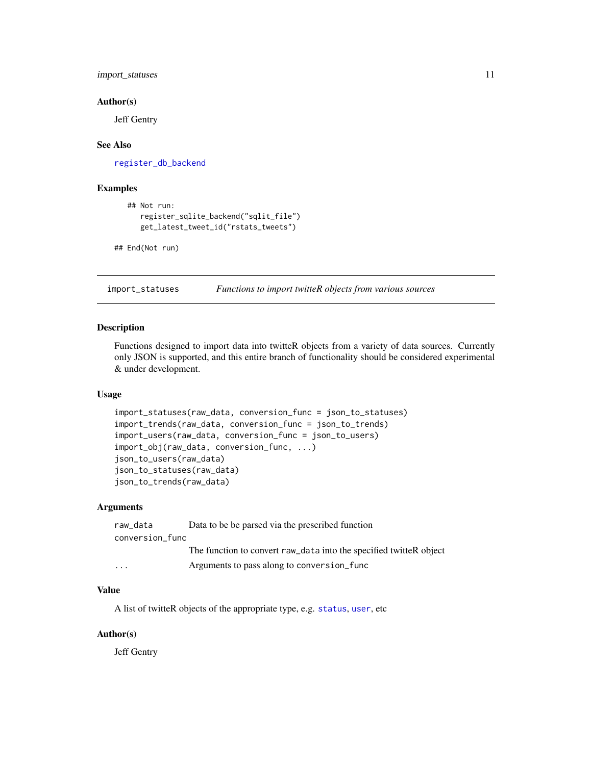# <span id="page-10-0"></span>import\_statuses 11

#### Author(s)

Jeff Gentry

#### See Also

[register\\_db\\_backend](#page-13-1)

#### Examples

```
## Not run:
  register_sqlite_backend("sqlit_file")
  get_latest_tweet_id("rstats_tweets")
```

```
## End(Not run)
```
import\_statuses *Functions to import twitteR objects from various sources*

#### Description

Functions designed to import data into twitteR objects from a variety of data sources. Currently only JSON is supported, and this entire branch of functionality should be considered experimental & under development.

# Usage

```
import_statuses(raw_data, conversion_func = json_to_statuses)
import_trends(raw_data, conversion_func = json_to_trends)
import_users(raw_data, conversion_func = json_to_users)
import_obj(raw_data, conversion_func, ...)
json_to_users(raw_data)
json_to_statuses(raw_data)
json_to_trends(raw_data)
```
#### Arguments

| raw_data                | Data to be be parsed via the prescribed function                   |
|-------------------------|--------------------------------------------------------------------|
| conversion_func         |                                                                    |
|                         | The function to convert raw_data into the specified twitteR object |
| $\cdot$ $\cdot$ $\cdot$ | Arguments to pass along to conversion func                         |

# Value

A list of twitteR objects of the appropriate type, e.g. [status](#page-20-1), [user](#page-26-1), etc

#### Author(s)

Jeff Gentry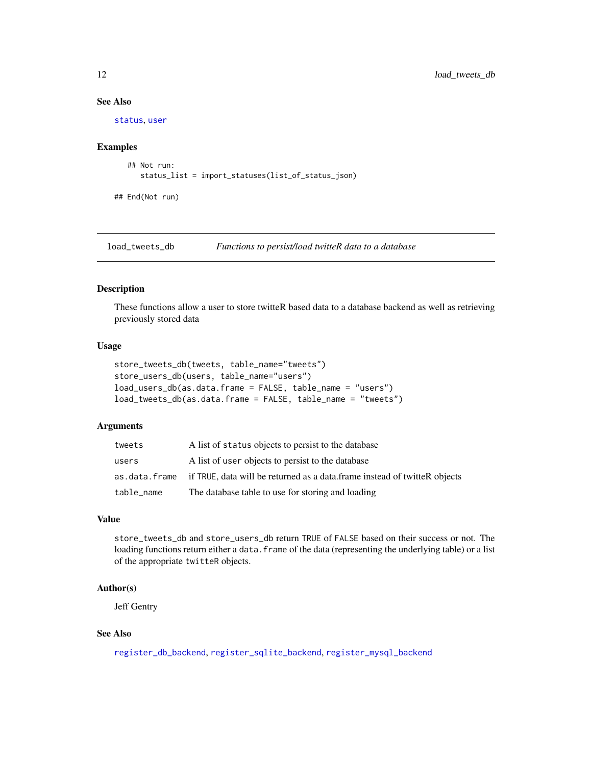# See Also

[status](#page-20-1), [user](#page-26-1)

#### Examples

```
## Not run:
  status_list = import_statuses(list_of_status_json)
```
## End(Not run)

<span id="page-11-2"></span>load\_tweets\_db *Functions to persist/load twitteR data to a database*

#### <span id="page-11-1"></span>Description

These functions allow a user to store twitteR based data to a database backend as well as retrieving previously stored data

# Usage

```
store_tweets_db(tweets, table_name="tweets")
store_users_db(users, table_name="users")
load_users_db(as.data.frame = FALSE, table_name = "users")
load_tweets_db(as.data.frame = FALSE, table_name = "tweets")
```
#### Arguments

| tweets     | A list of status objects to persist to the database                                       |
|------------|-------------------------------------------------------------------------------------------|
| users      | A list of user objects to persist to the database                                         |
|            | as, data, frame if TRUE, data will be returned as a data.frame instead of twitteR objects |
| table_name | The database table to use for storing and loading                                         |

# Value

store\_tweets\_db and store\_users\_db return TRUE of FALSE based on their success or not. The loading functions return either a data. frame of the data (representing the underlying table) or a list of the appropriate twitteR objects.

### Author(s)

Jeff Gentry

# See Also

[register\\_db\\_backend](#page-13-1), [register\\_sqlite\\_backend](#page-13-2), [register\\_mysql\\_backend](#page-13-2)

<span id="page-11-0"></span>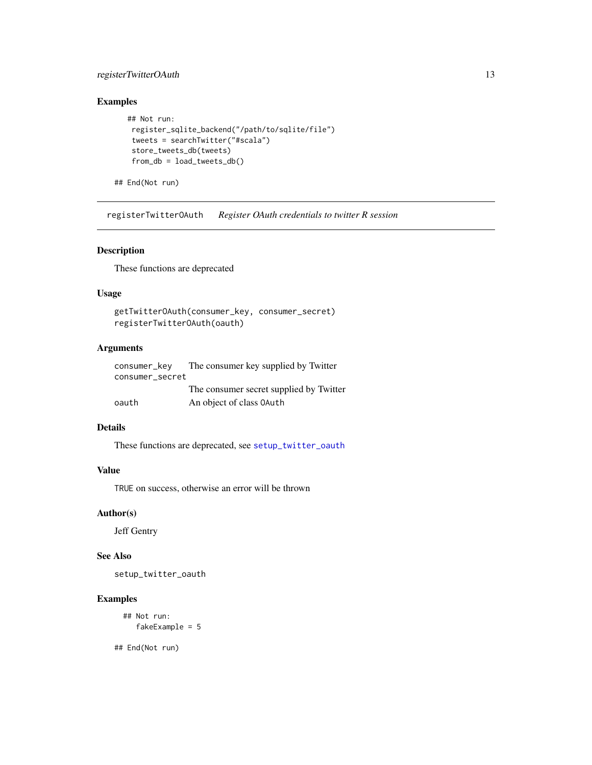# <span id="page-12-0"></span>registerTwitterOAuth 13

# Examples

```
## Not run:
register_sqlite_backend("/path/to/sqlite/file")
tweets = searchTwitter("#scala")
store_tweets_db(tweets)
 from_db = load_tweets_db()
```
## End(Not run)

<span id="page-12-1"></span>registerTwitterOAuth *Register OAuth credentials to twitter R session*

#### Description

These functions are deprecated

# Usage

```
getTwitterOAuth(consumer_key, consumer_secret)
registerTwitterOAuth(oauth)
```
# Arguments

| consumer_key    | The consumer key supplied by Twitter    |
|-----------------|-----------------------------------------|
| consumer secret |                                         |
|                 | The consumer secret supplied by Twitter |
| oauth           | An object of class 0Auth                |

# Details

These functions are deprecated, see [setup\\_twitter\\_oauth](#page-18-1)

# Value

TRUE on success, otherwise an error will be thrown

#### Author(s)

Jeff Gentry

#### See Also

setup\_twitter\_oauth

#### Examples

```
## Not run:
   fakeExample = 5
```
## End(Not run)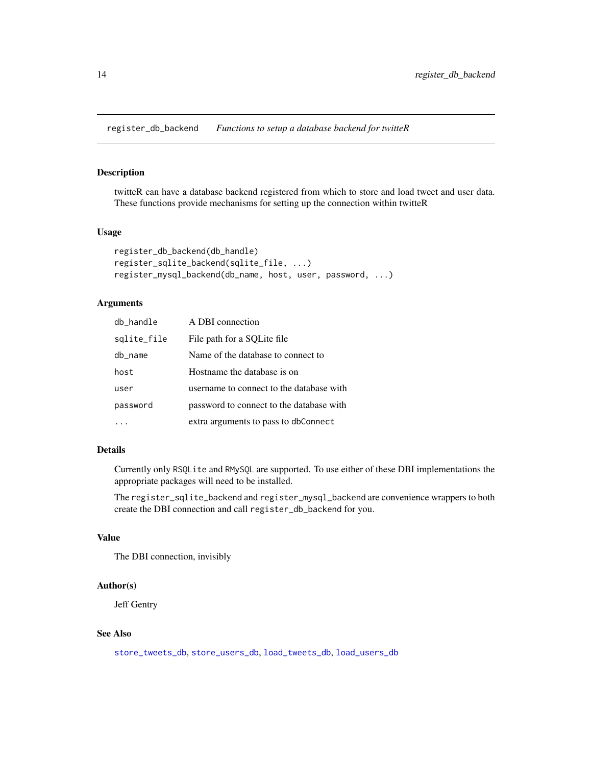<span id="page-13-1"></span><span id="page-13-0"></span>register\_db\_backend *Functions to setup a database backend for twitteR*

#### <span id="page-13-2"></span>Description

twitteR can have a database backend registered from which to store and load tweet and user data. These functions provide mechanisms for setting up the connection within twitteR

#### Usage

```
register_db_backend(db_handle)
register_sqlite_backend(sqlite_file, ...)
register_mysql_backend(db_name, host, user, password, ...)
```
# Arguments

| db_handle   | A DBI connection                         |
|-------------|------------------------------------------|
| sqlite_file | File path for a SQLite file              |
| db_name     | Name of the database to connect to       |
| host        | Hostname the database is on              |
| user        | username to connect to the database with |
| password    | password to connect to the database with |
|             | extra arguments to pass to dbConnect     |

#### Details

Currently only RSQLite and RMySQL are supported. To use either of these DBI implementations the appropriate packages will need to be installed.

The register\_sqlite\_backend and register\_mysql\_backend are convenience wrappers to both create the DBI connection and call register\_db\_backend for you.

# Value

The DBI connection, invisibly

#### Author(s)

Jeff Gentry

# See Also

[store\\_tweets\\_db](#page-11-1), [store\\_users\\_db](#page-11-1), [load\\_tweets\\_db](#page-11-2), [load\\_users\\_db](#page-11-1)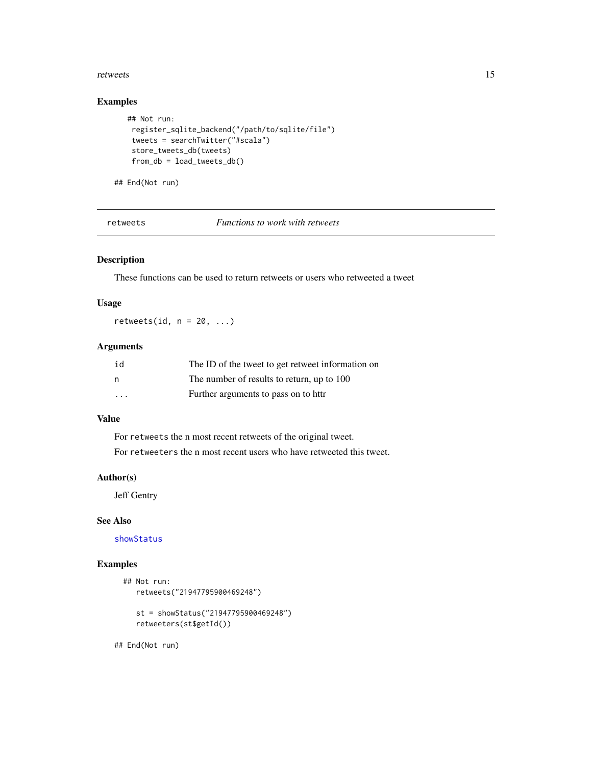#### <span id="page-14-0"></span>retweets and the set of the set of the set of the set of the set of the set of the set of the set of the set of the set of the set of the set of the set of the set of the set of the set of the set of the set of the set of

# Examples

```
## Not run:
register_sqlite_backend("/path/to/sqlite/file")
tweets = searchTwitter("#scala")
store_tweets_db(tweets)
 from_db = load_tweets_db()
```
## End(Not run)

retweets *Functions to work with retweets*

# Description

These functions can be used to return retweets or users who retweeted a tweet

# Usage

retweets(id,  $n = 20, ...$ )

# Arguments

| id      | The ID of the tweet to get retweet information on |
|---------|---------------------------------------------------|
| n       | The number of results to return, up to 100        |
| $\cdot$ | Further arguments to pass on to httr              |

# Value

For retweets the n most recent retweets of the original tweet. For retweeters the n most recent users who have retweeted this tweet.

# Author(s)

Jeff Gentry

# See Also

[showStatus](#page-19-1)

# Examples

```
## Not run:
  retweets("21947795900469248")
   st = showStatus("21947795900469248")
   retweeters(st$getId())
```
## End(Not run)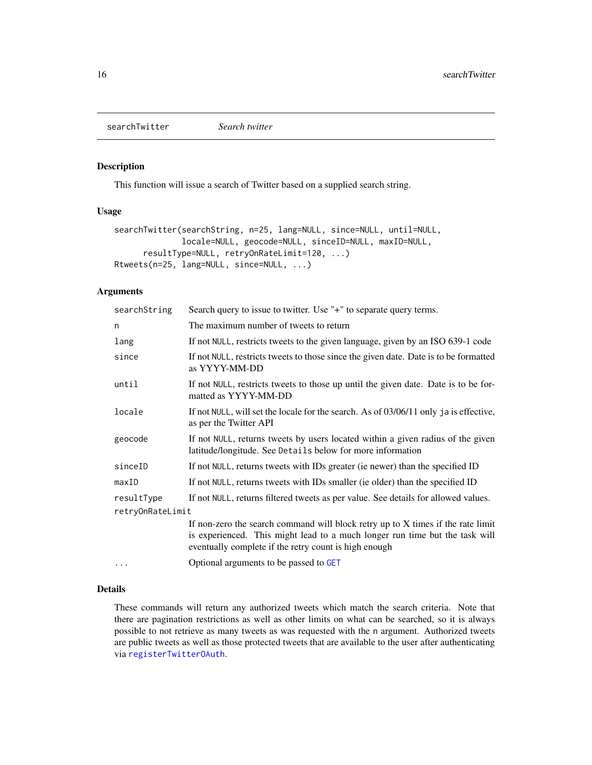<span id="page-15-1"></span><span id="page-15-0"></span>searchTwitter *Search twitter*

# Description

This function will issue a search of Twitter based on a supplied search string.

#### Usage

```
searchTwitter(searchString, n=25, lang=NULL, since=NULL, until=NULL,
              locale=NULL, geocode=NULL, sinceID=NULL, maxID=NULL,
     resultType=NULL, retryOnRateLimit=120, ...)
Rtweets(n=25, lang=NULL, since=NULL, ...)
```
#### Arguments

| searchString     | Search query to issue to twitter. Use "+" to separate query terms.                                                                                                                                                        |
|------------------|---------------------------------------------------------------------------------------------------------------------------------------------------------------------------------------------------------------------------|
| n                | The maximum number of tweets to return                                                                                                                                                                                    |
| lang             | If not NULL, restricts tweets to the given language, given by an ISO 639-1 code                                                                                                                                           |
| since            | If not NULL, restricts tweets to those since the given date. Date is to be formatted<br>as YYYY-MM-DD                                                                                                                     |
| until            | If not NULL, restricts tweets to those up until the given date. Date is to be for-<br>matted as YYYY-MM-DD                                                                                                                |
| locale           | If not NULL, will set the locale for the search. As of 03/06/11 only ja is effective,<br>as per the Twitter API                                                                                                           |
| geocode          | If not NULL, returns tweets by users located within a given radius of the given<br>latitude/longitude. See Details below for more information                                                                             |
| sinceID          | If not NULL, returns tweets with IDs greater (ie newer) than the specified ID                                                                                                                                             |
| maxID            | If not NULL, returns tweets with IDs smaller (ie older) than the specified ID                                                                                                                                             |
| resultType       | If not NULL, returns filtered tweets as per value. See details for allowed values.                                                                                                                                        |
| retryOnRateLimit |                                                                                                                                                                                                                           |
|                  | If non-zero the search command will block retry up to $X$ times if the rate limit<br>is experienced. This might lead to a much longer run time but the task will<br>eventually complete if the retry count is high enough |
| $\cdots$         | Optional arguments to be passed to GET                                                                                                                                                                                    |

#### Details

These commands will return any authorized tweets which match the search criteria. Note that there are pagination restrictions as well as other limits on what can be searched, so it is always possible to not retrieve as many tweets as was requested with the n argument. Authorized tweets are public tweets as well as those protected tweets that are available to the user after authenticating via [registerTwitterOAuth](#page-12-1).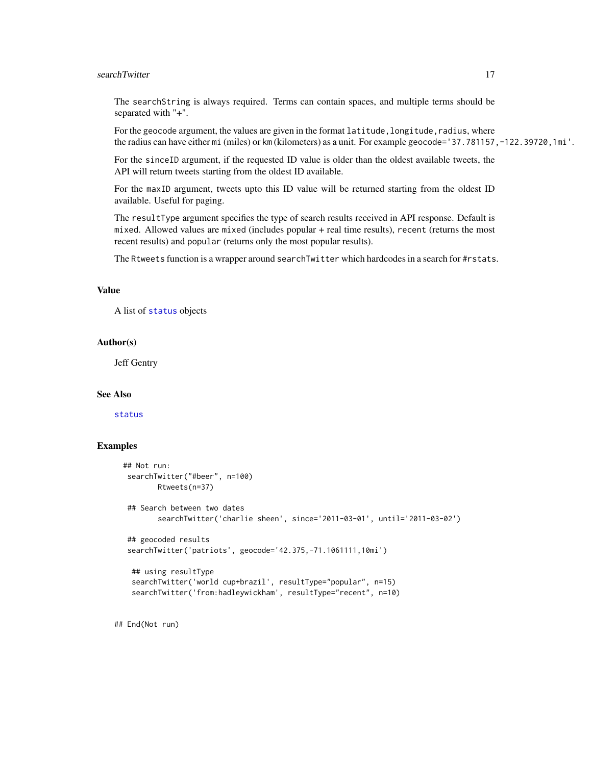# <span id="page-16-0"></span>searchTwitter 17

The searchString is always required. Terms can contain spaces, and multiple terms should be separated with "+".

For the geocode argument, the values are given in the format latitude, longitude, radius, where the radius can have either mi (miles) or km (kilometers) as a unit. For example geocode='37.781157,-122.39720,1mi'.

For the sinceID argument, if the requested ID value is older than the oldest available tweets, the API will return tweets starting from the oldest ID available.

For the maxID argument, tweets upto this ID value will be returned starting from the oldest ID available. Useful for paging.

The resultType argument specifies the type of search results received in API response. Default is mixed. Allowed values are mixed (includes popular + real time results), recent (returns the most recent results) and popular (returns only the most popular results).

The Rtweets function is a wrapper around searchTwitter which hardcodes in a search for #rstats.

#### Value

A list of [status](#page-20-1) objects

#### Author(s)

Jeff Gentry

#### See Also

[status](#page-20-1)

# Examples

```
## Not run:
 searchTwitter("#beer", n=100)
       Rtweets(n=37)
 ## Search between two dates
        searchTwitter('charlie sheen', since='2011-03-01', until='2011-03-02')
 ## geocoded results
 searchTwitter('patriots', geocode='42.375,-71.1061111,10mi')
  ## using resultType
  searchTwitter('world cup+brazil', resultType="popular", n=15)
  searchTwitter('from:hadleywickham', resultType="recent", n=10)
```
## End(Not run)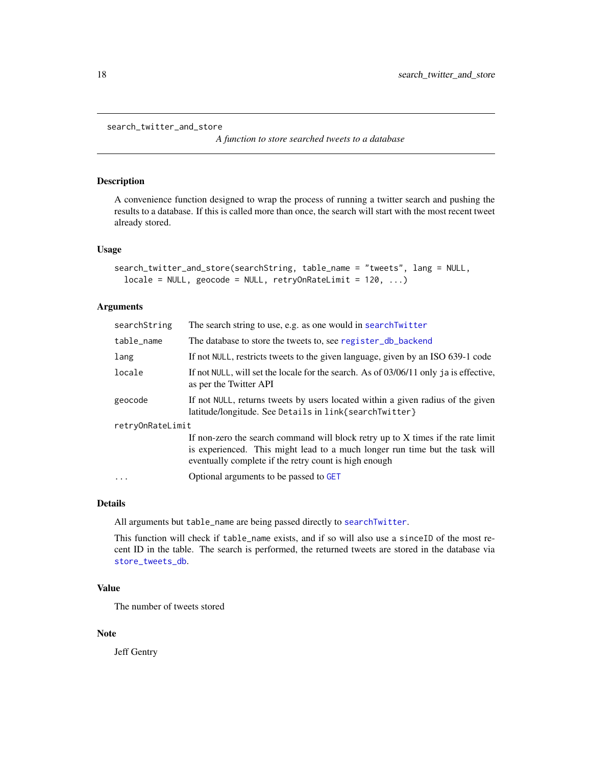```
search_twitter_and_store
```
*A function to store searched tweets to a database*

#### Description

A convenience function designed to wrap the process of running a twitter search and pushing the results to a database. If this is called more than once, the search will start with the most recent tweet already stored.

#### Usage

```
search_twitter_and_store(searchString, table_name = "tweets", lang = NULL,
  locale = NULL, geocode = NULL, retryOnRateLimit = 120, ...
```
#### Arguments

| searchString     | The search string to use, e.g. as one would in searchTwitter                                                                                                                                                            |
|------------------|-------------------------------------------------------------------------------------------------------------------------------------------------------------------------------------------------------------------------|
| table_name       | The database to store the tweets to, see register_db_backend                                                                                                                                                            |
| lang             | If not NULL, restricts tweets to the given language, given by an ISO 639-1 code                                                                                                                                         |
| locale           | If not NULL, will set the locale for the search. As of $03/06/11$ only ja is effective,<br>as per the Twitter API                                                                                                       |
| geocode          | If not NULL, returns tweets by users located within a given radius of the given<br>latitude/longitude. See Details in link{searchTwitter}                                                                               |
| retryOnRateLimit |                                                                                                                                                                                                                         |
|                  | If non-zero the search command will block retry up to X times if the rate limit<br>is experienced. This might lead to a much longer run time but the task will<br>eventually complete if the retry count is high enough |
| .                | Optional arguments to be passed to GET                                                                                                                                                                                  |
|                  |                                                                                                                                                                                                                         |

#### Details

All arguments but table\_name are being passed directly to [searchTwitter](#page-15-1).

This function will check if table\_name exists, and if so will also use a sinceID of the most recent ID in the table. The search is performed, the returned tweets are stored in the database via [store\\_tweets\\_db](#page-11-1).

# Value

The number of tweets stored

#### Note

Jeff Gentry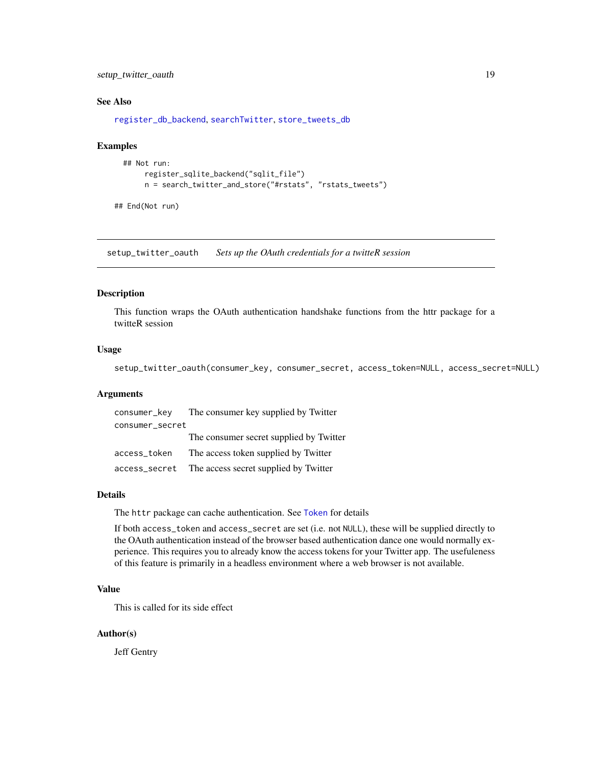<span id="page-18-0"></span>setup\_twitter\_oauth 19

# See Also

[register\\_db\\_backend](#page-13-1), [searchTwitter](#page-15-1), [store\\_tweets\\_db](#page-11-1)

#### Examples

```
## Not run:
     register_sqlite_backend("sqlit_file")
     n = search_twitter_and_store("#rstats", "rstats_tweets")
```
## End(Not run)

<span id="page-18-1"></span>setup\_twitter\_oauth *Sets up the OAuth credentials for a twitteR session*

# Description

This function wraps the OAuth authentication handshake functions from the httr package for a twitteR session

# Usage

setup\_twitter\_oauth(consumer\_key, consumer\_secret, access\_token=NULL, access\_secret=NULL)

#### Arguments

| consumer_key    | The consumer key supplied by Twitter    |
|-----------------|-----------------------------------------|
| consumer_secret |                                         |
|                 | The consumer secret supplied by Twitter |
| access_token    | The access token supplied by Twitter    |
| access_secret   | The access secret supplied by Twitter   |

# Details

The httr package can cache authentication. See [Token](#page-0-0) for details

If both access\_token and access\_secret are set (i.e. not NULL), these will be supplied directly to the OAuth authentication instead of the browser based authentication dance one would normally experience. This requires you to already know the access tokens for your Twitter app. The usefuleness of this feature is primarily in a headless environment where a web browser is not available.

# Value

This is called for its side effect

# Author(s)

Jeff Gentry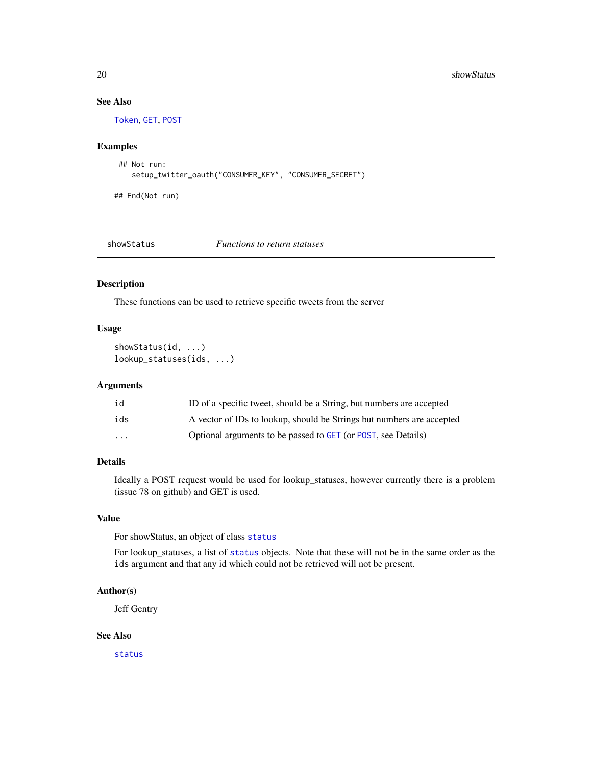# See Also

[Token](#page-0-0), [GET](#page-0-0), [POST](#page-0-0)

# Examples

```
## Not run:
   setup_twitter_oauth("CONSUMER_KEY", "CONSUMER_SECRET")
```
## End(Not run)

<span id="page-19-1"></span>

showStatus *Functions to return statuses*

#### Description

These functions can be used to retrieve specific tweets from the server

# Usage

showStatus(id, ...) lookup\_statuses(ids, ...)

#### Arguments

| id                      | ID of a specific tweet, should be a String, but numbers are accepted  |
|-------------------------|-----------------------------------------------------------------------|
| ids                     | A vector of IDs to lookup, should be Strings but numbers are accepted |
| $\cdot$ $\cdot$ $\cdot$ | Optional arguments to be passed to GET (or POST, see Details)         |

# Details

Ideally a POST request would be used for lookup\_statuses, however currently there is a problem (issue 78 on github) and GET is used.

#### Value

For showStatus, an object of class [status](#page-20-1)

For lookup\_statuses, a list of [status](#page-20-1) objects. Note that these will not be in the same order as the ids argument and that any id which could not be retrieved will not be present.

#### Author(s)

Jeff Gentry

# See Also

[status](#page-20-1)

<span id="page-19-0"></span>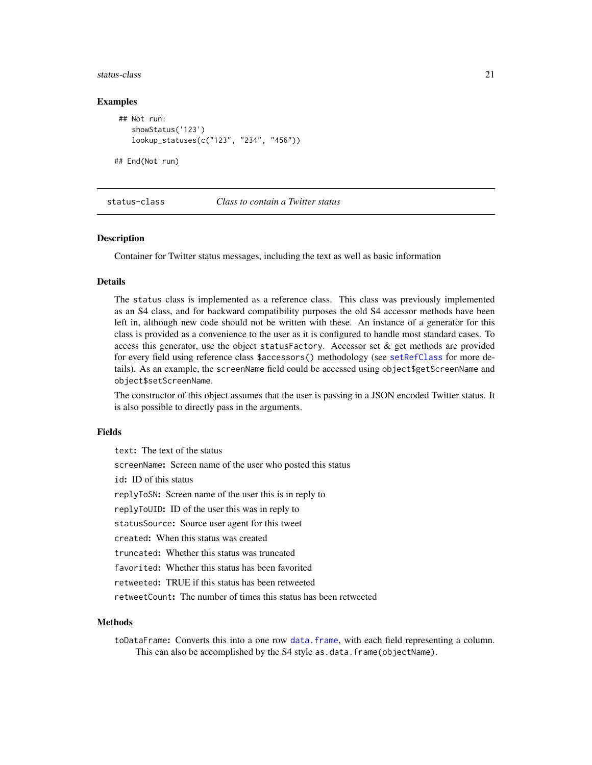#### <span id="page-20-0"></span>status-class 21

#### Examples

```
## Not run:
   showStatus('123')
   lookup_statuses(c("123", "234", "456"))
```
## End(Not run)

#### status-class *Class to contain a Twitter status*

#### <span id="page-20-1"></span>Description

Container for Twitter status messages, including the text as well as basic information

#### Details

The status class is implemented as a reference class. This class was previously implemented as an S4 class, and for backward compatibility purposes the old S4 accessor methods have been left in, although new code should not be written with these. An instance of a generator for this class is provided as a convenience to the user as it is configured to handle most standard cases. To access this generator, use the object statusFactory. Accessor set  $\&$  get methods are provided for every field using reference class \$accessors() methodology (see [setRefClass](#page-0-0) for more details). As an example, the screenName field could be accessed using object\$getScreenName and object\$setScreenName.

The constructor of this object assumes that the user is passing in a JSON encoded Twitter status. It is also possible to directly pass in the arguments.

#### Fields

text: The text of the status screenName: Screen name of the user who posted this status id: ID of this status replyToSN: Screen name of the user this is in reply to replyToUID: ID of the user this was in reply to statusSource: Source user agent for this tweet created: When this status was created truncated: Whether this status was truncated favorited: Whether this status has been favorited retweeted: TRUE if this status has been retweeted retweetCount: The number of times this status has been retweeted

#### **Methods**

toDataFrame: Converts this into a one row [data.frame](#page-0-0), with each field representing a column. This can also be accomplished by the S4 style as.data.frame(objectName).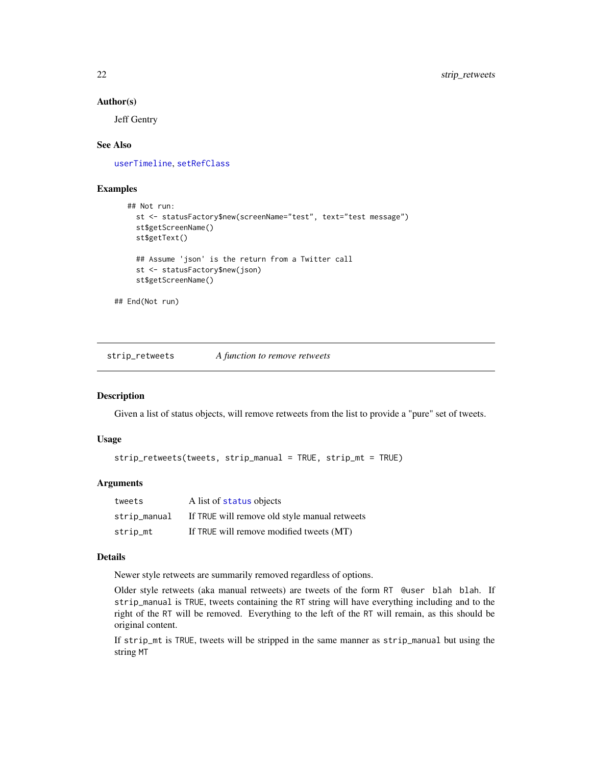#### <span id="page-21-0"></span>Author(s)

Jeff Gentry

#### See Also

[userTimeline](#page-23-1), [setRefClass](#page-0-0)

# Examples

```
## Not run:
    st <- statusFactory$new(screenName="test", text="test message")
     st$getScreenName()
     st$getText()
     ## Assume 'json' is the return from a Twitter call
     st <- statusFactory$new(json)
     st$getScreenName()
## End(Not run)
```
strip\_retweets *A function to remove retweets*

# Description

Given a list of status objects, will remove retweets from the list to provide a "pure" set of tweets.

#### Usage

```
strip_retweets(tweets, strip_manual = TRUE, strip_mt = TRUE)
```
# Arguments

| tweets       | A list of status objects                      |
|--------------|-----------------------------------------------|
| strip_manual | If TRUE will remove old style manual retweets |
| strip_mt     | If TRUE will remove modified tweets (MT)      |

# Details

Newer style retweets are summarily removed regardless of options.

Older style retweets (aka manual retweets) are tweets of the form RT @user blah blah. If strip\_manual is TRUE, tweets containing the RT string will have everything including and to the right of the RT will be removed. Everything to the left of the RT will remain, as this should be original content.

If strip\_mt is TRUE, tweets will be stripped in the same manner as strip\_manual but using the string MT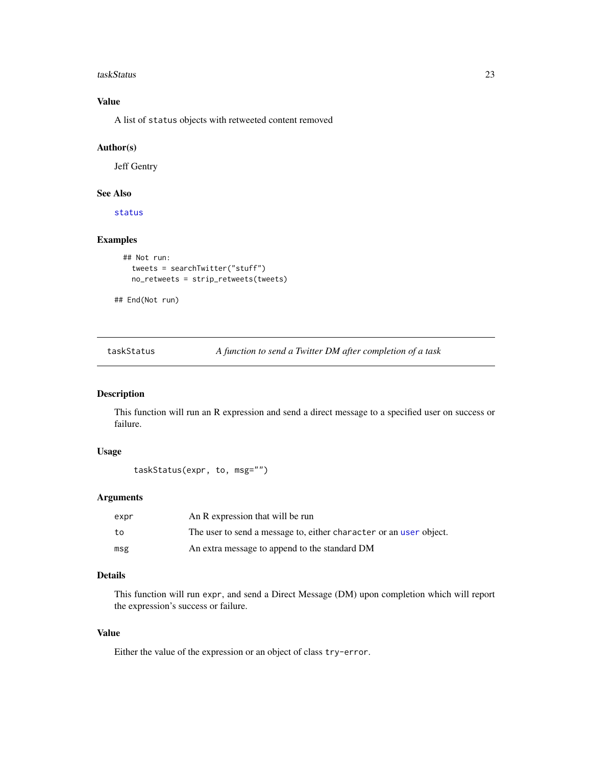#### <span id="page-22-0"></span>taskStatus 23

# Value

A list of status objects with retweeted content removed

#### Author(s)

Jeff Gentry

#### See Also

[status](#page-20-1)

# Examples

```
## Not run:
 tweets = searchTwitter("stuff")
 no_retweets = strip_retweets(tweets)
```
## End(Not run)

taskStatus *A function to send a Twitter DM after completion of a task*

# Description

This function will run an R expression and send a direct message to a specified user on success or failure.

# Usage

```
taskStatus(expr, to, msg="")
```
#### Arguments

| expr | An R expression that will be run                                   |
|------|--------------------------------------------------------------------|
| to   | The user to send a message to, either character or an user object. |
| msg  | An extra message to append to the standard DM                      |

# Details

This function will run expr, and send a Direct Message (DM) upon completion which will report the expression's success or failure.

# Value

Either the value of the expression or an object of class try-error.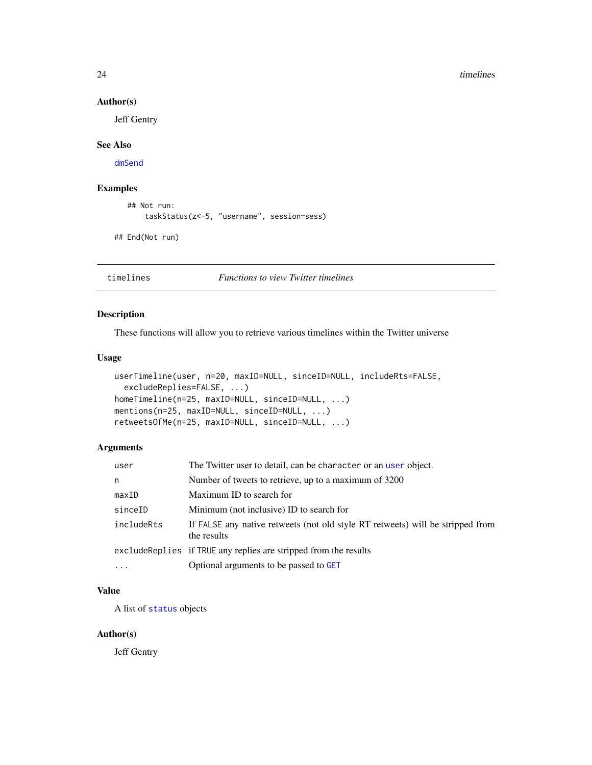#### 24 timelines and the contract of the contract of the contract of the contract of the contract of the contract of the contract of the contract of the contract of the contract of the contract of the contract of the contract

# Author(s)

Jeff Gentry

# See Also

[dmSend](#page-3-1)

# Examples

```
## Not run:
   taskStatus(z<-5, "username", session=sess)
```
## End(Not run)

timelines *Functions to view Twitter timelines*

# <span id="page-23-1"></span>Description

These functions will allow you to retrieve various timelines within the Twitter universe

# Usage

```
userTimeline(user, n=20, maxID=NULL, sinceID=NULL, includeRts=FALSE,
  excludeReplies=FALSE, ...)
homeTimeline(n=25, maxID=NULL, sinceID=NULL, ...)
mentions(n=25, maxID=NULL, sinceID=NULL, ...)
retweetsOfMe(n=25, maxID=NULL, sinceID=NULL, ...)
```
# Arguments

| user       | The Twitter user to detail, can be character or an user object.                               |
|------------|-----------------------------------------------------------------------------------------------|
| n          | Number of tweets to retrieve, up to a maximum of 3200                                         |
| maxID      | Maximum ID to search for                                                                      |
| sinceID    | Minimum (not inclusive) ID to search for                                                      |
| includeRts | If FALSE any native retweets (not old style RT retweets) will be stripped from<br>the results |
|            | excludeReplies if TRUE any replies are stripped from the results                              |
| $\cdot$    | Optional arguments to be passed to GET                                                        |

# Value

A list of [status](#page-20-1) objects

# Author(s)

Jeff Gentry

<span id="page-23-0"></span>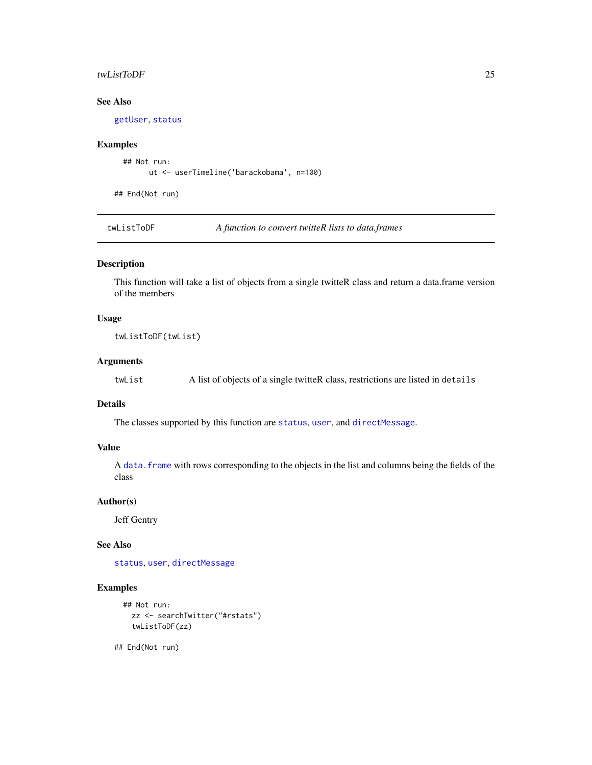#### <span id="page-24-0"></span>twListToDF 25

# See Also

[getUser](#page-8-1), [status](#page-20-1)

# Examples

```
## Not run:
     ut <- userTimeline('barackobama', n=100)
```
## End(Not run)

twListToDF *A function to convert twitteR lists to data.frames*

#### Description

This function will take a list of objects from a single twitteR class and return a data.frame version of the members

#### Usage

twListToDF(twList)

# Arguments

twList A list of objects of a single twitteR class, restrictions are listed in details

# Details

The classes supported by this function are [status](#page-20-1), [user](#page-26-1), and [directMessage](#page-2-1).

# Value

A [data.frame](#page-0-0) with rows corresponding to the objects in the list and columns being the fields of the class

#### Author(s)

Jeff Gentry

# See Also

[status](#page-20-1), [user](#page-26-1), [directMessage](#page-2-1)

# Examples

```
## Not run:
  zz <- searchTwitter("#rstats")
  twListToDF(zz)
```
## End(Not run)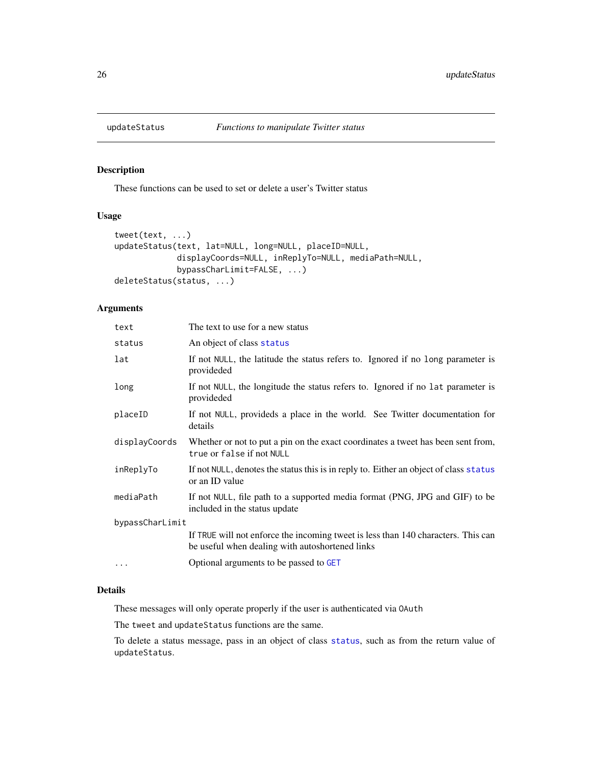<span id="page-25-0"></span>

# Description

These functions can be used to set or delete a user's Twitter status

# Usage

```
tweet(text, ...)
updateStatus(text, lat=NULL, long=NULL, placeID=NULL,
            displayCoords=NULL, inReplyTo=NULL, mediaPath=NULL,
             bypassCharLimit=FALSE, ...)
deleteStatus(status, ...)
```
# Arguments

| text            | The text to use for a new status                                                                                                     |
|-----------------|--------------------------------------------------------------------------------------------------------------------------------------|
| status          | An object of class status                                                                                                            |
| lat             | If not NULL, the latitude the status refers to. Ignored if no long parameter is<br>provideded                                        |
| long            | If not NULL, the longitude the status refers to. Ignored if no lat parameter is<br>provideded                                        |
| placeID         | If not NULL, provideds a place in the world. See Twitter documentation for<br>details                                                |
| displayCoords   | Whether or not to put a pin on the exact coordinates a tweet has been sent from,<br>true or false if not NULL                        |
| inReplyTo       | If not NULL, denotes the status this is in reply to. Either an object of class status<br>or an ID value                              |
| mediaPath       | If not NULL, file path to a supported media format (PNG, JPG and GIF) to be<br>included in the status update                         |
| bypassCharLimit |                                                                                                                                      |
|                 | If TRUE will not enforce the incoming tweet is less than 140 characters. This can<br>be useful when dealing with autoshortened links |
| $\cdots$        | Optional arguments to be passed to GET                                                                                               |

# Details

These messages will only operate properly if the user is authenticated via OAuth

The tweet and updateStatus functions are the same.

To delete a status message, pass in an object of class [status](#page-20-1), such as from the return value of updateStatus.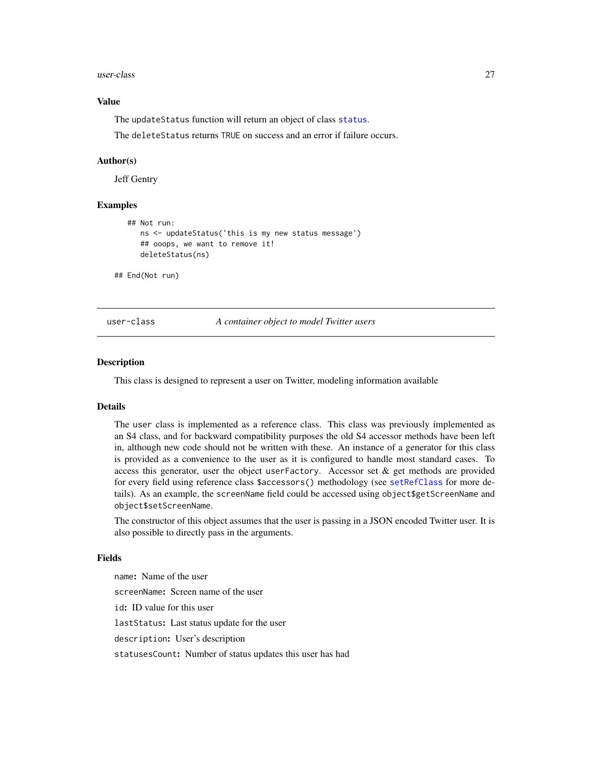<span id="page-26-0"></span>user-class 27

### Value

The updateStatus function will return an object of class [status](#page-20-1).

The deleteStatus returns TRUE on success and an error if failure occurs.

#### Author(s)

Jeff Gentry

### Examples

```
## Not run:
     ns <- updateStatus('this is my new status message')
     ## ooops, we want to remove it!
     deleteStatus(ns)
## End(Not run)
```
user-class *A container object to model Twitter users*

#### <span id="page-26-1"></span>Description

This class is designed to represent a user on Twitter, modeling information available

#### **Details**

The user class is implemented as a reference class. This class was previously implemented as an S4 class, and for backward compatibility purposes the old S4 accessor methods have been left in, although new code should not be written with these. An instance of a generator for this class is provided as a convenience to the user as it is configured to handle most standard cases. To access this generator, user the object userFactory. Accessor set  $\&$  get methods are provided for every field using reference class \$accessors() methodology (see [setRefClass](#page-0-0) for more details). As an example, the screenName field could be accessed using object\$getScreenName and object\$setScreenName.

The constructor of this object assumes that the user is passing in a JSON encoded Twitter user. It is also possible to directly pass in the arguments.

#### Fields

name: Name of the user screenName: Screen name of the user id: ID value for this user lastStatus: Last status update for the user description: User's description statusesCount: Number of status updates this user has had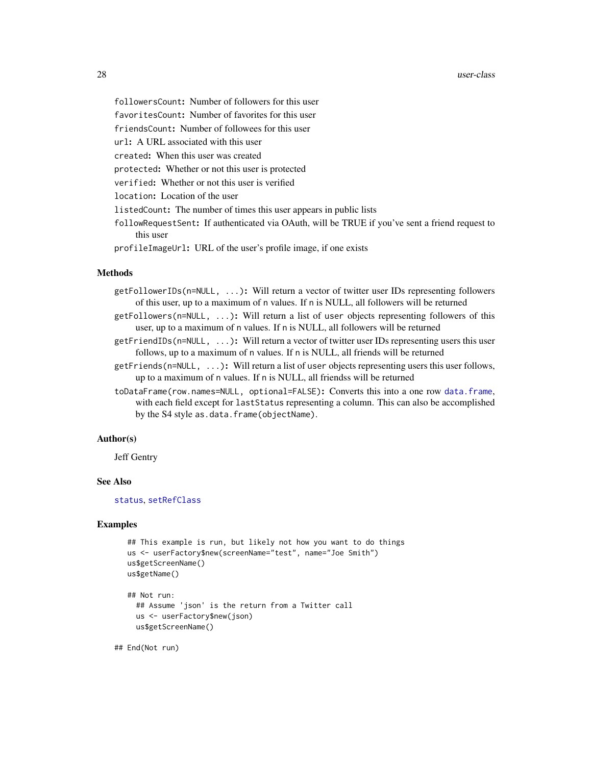#### <span id="page-27-0"></span>28 user-class and the set of the set of the set of the set of the set of the set of the set of the set of the set of the set of the set of the set of the set of the set of the set of the set of the set of the set of the se

- followersCount: Number of followers for this user
- favoritesCount: Number of favorites for this user
- friendsCount: Number of followees for this user
- url: A URL associated with this user
- created: When this user was created
- protected: Whether or not this user is protected
- verified: Whether or not this user is verified
- location: Location of the user
- listedCount: The number of times this user appears in public lists
- followRequestSent: If authenticated via OAuth, will be TRUE if you've sent a friend request to this user
- profileImageUrl: URL of the user's profile image, if one exists

#### Methods

- getFollowerIDs(n=NULL, ...): Will return a vector of twitter user IDs representing followers of this user, up to a maximum of n values. If n is NULL, all followers will be returned
- getFollowers(n=NULL, ...): Will return a list of user objects representing followers of this user, up to a maximum of n values. If n is NULL, all followers will be returned
- $getFindIDs(n=NULL, ...)$ : Will return a vector of twitter user IDs representing users this user follows, up to a maximum of n values. If n is NULL, all friends will be returned
- getFriends(n=NULL, ...): Will return a list of user objects representing users this user follows, up to a maximum of n values. If n is NULL, all friendss will be returned
- toDataFrame(row.names=NULL, optional=FALSE): Converts this into a one row [data.frame](#page-0-0), with each field except for lastStatus representing a column. This can also be accomplished by the S4 style as.data.frame(objectName).

#### Author(s)

Jeff Gentry

#### See Also

#### [status](#page-20-1), [setRefClass](#page-0-0)

#### Examples

```
## This example is run, but likely not how you want to do things
us <- userFactory$new(screenName="test", name="Joe Smith")
us$getScreenName()
us$getName()
## Not run:
  ## Assume 'json' is the return from a Twitter call
  us <- userFactory$new(json)
  us$getScreenName()
```
## End(Not run)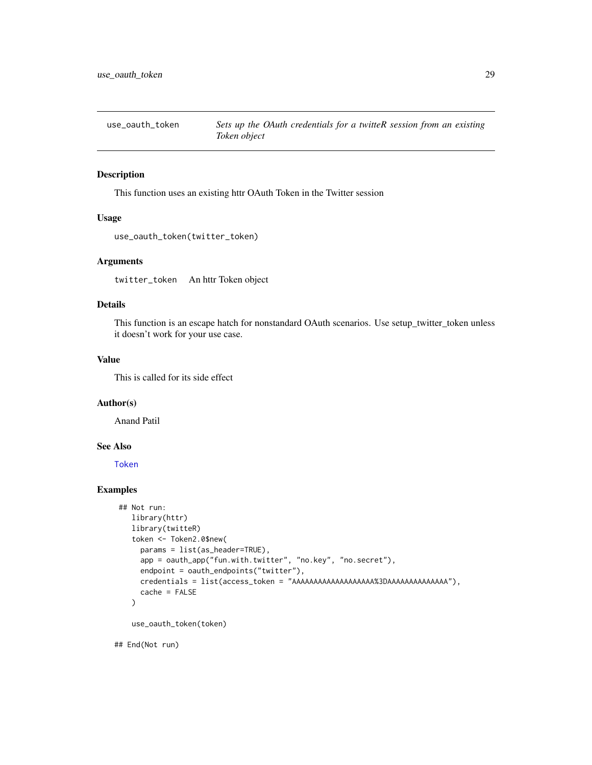<span id="page-28-0"></span>

# Description

This function uses an existing httr OAuth Token in the Twitter session

# Usage

```
use_oauth_token(twitter_token)
```
#### Arguments

twitter\_token An httr Token object

# Details

This function is an escape hatch for nonstandard OAuth scenarios. Use setup\_twitter\_token unless it doesn't work for your use case.

#### Value

This is called for its side effect

# Author(s)

Anand Patil

# See Also

[Token](#page-0-0)

# Examples

```
## Not run:
  library(httr)
  library(twitteR)
   token <- Token2.0$new(
     params = list(as_header=TRUE),
     app = oauth_app("fun.with.twitter", "no.key", "no.secret"),
     endpoint = oauth_endpoints("twitter"),
     credentials = list(access_token = "AAAAAAAAAAAAAAAAAAA%3DAAAAAAAAAAAAAA"),
     cache = FALSE
   )
   use_oauth_token(token)
```
## End(Not run)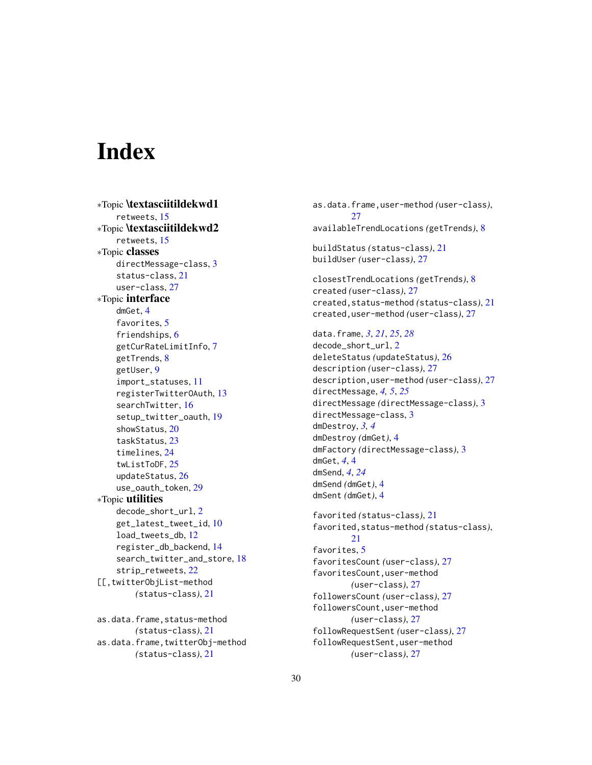# <span id="page-29-0"></span>**Index**

∗Topic \textasciitildekwd1 retweets, [15](#page-14-0) ∗Topic \textasciitildekwd2 retweets, [15](#page-14-0) ∗Topic classes directMessage-class, [3](#page-2-0) status-class, [21](#page-20-0) user-class, [27](#page-26-0) ∗Topic interface dmGet, [4](#page-3-0) favorites, [5](#page-4-0) friendships, [6](#page-5-0) getCurRateLimitInfo, [7](#page-6-0) getTrends, [8](#page-7-0) getUser, [9](#page-8-0) import\_statuses, [11](#page-10-0) registerTwitterOAuth, [13](#page-12-0) searchTwitter, [16](#page-15-0) setup\_twitter\_oauth, [19](#page-18-0) showStatus, [20](#page-19-0) taskStatus, [23](#page-22-0) timelines, [24](#page-23-0) twListToDF, [25](#page-24-0) updateStatus, [26](#page-25-0) use\_oauth\_token, [29](#page-28-0) ∗Topic utilities decode\_short\_url, [2](#page-1-0) get\_latest\_tweet\_id, [10](#page-9-0) load\_tweets\_db, [12](#page-11-0) register\_db\_backend, [14](#page-13-0) search\_twitter\_and\_store, [18](#page-17-0) strip\_retweets, [22](#page-21-0) [[,twitterObjList-method *(*status-class*)*, [21](#page-20-0) as.data.frame,status-method

*(*status-class*)*, [21](#page-20-0) as.data.frame,twitterObj-method *(*status-class*)*, [21](#page-20-0)

as.data.frame,user-method *(*user-class*)*, [27](#page-26-0) availableTrendLocations *(*getTrends*)*, [8](#page-7-0) buildStatus *(*status-class*)*, [21](#page-20-0) buildUser *(*user-class*)*, [27](#page-26-0) closestTrendLocations *(*getTrends*)*, [8](#page-7-0)

created *(*user-class*)*, [27](#page-26-0) created,status-method *(*status-class*)*, [21](#page-20-0) created,user-method *(*user-class*)*, [27](#page-26-0)

data.frame, *[3](#page-2-0)*, *[21](#page-20-0)*, *[25](#page-24-0)*, *[28](#page-27-0)* decode\_short\_url, [2](#page-1-0) deleteStatus *(*updateStatus*)*, [26](#page-25-0) description *(*user-class*)*, [27](#page-26-0) description,user-method *(*user-class*)*, [27](#page-26-0) directMessage, *[4,](#page-3-0) [5](#page-4-0)*, *[25](#page-24-0)* directMessage *(*directMessage-class*)*, [3](#page-2-0) directMessage-class, [3](#page-2-0) dmDestroy, *[3,](#page-2-0) [4](#page-3-0)* dmDestroy *(*dmGet*)*, [4](#page-3-0) dmFactory *(*directMessage-class*)*, [3](#page-2-0) dmGet, *[4](#page-3-0)*, [4](#page-3-0) dmSend, *[4](#page-3-0)*, *[24](#page-23-0)* dmSend *(*dmGet*)*, [4](#page-3-0) dmSent *(*dmGet*)*, [4](#page-3-0)

favorited *(*status-class*)*, [21](#page-20-0) favorited,status-method *(*status-class*)*, [21](#page-20-0) favorites, [5](#page-4-0) favoritesCount *(*user-class*)*, [27](#page-26-0) favoritesCount,user-method *(*user-class*)*, [27](#page-26-0) followersCount *(*user-class*)*, [27](#page-26-0) followersCount,user-method *(*user-class*)*, [27](#page-26-0) followRequestSent *(*user-class*)*, [27](#page-26-0) followRequestSent,user-method *(*user-class*)*, [27](#page-26-0)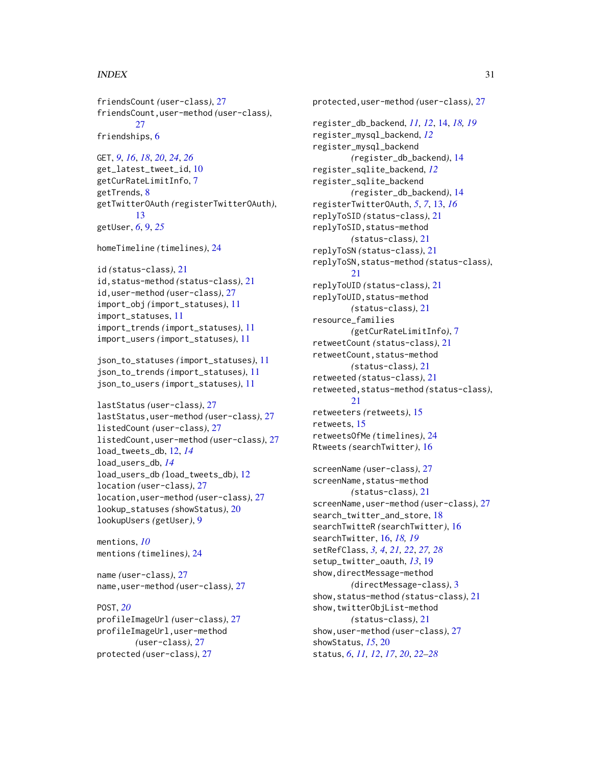#### INDEX  $31$

```
friendsCount (user-class), 27
friendsCount,user-method (user-class),
        27
```
friendships, [6](#page-5-0)

```
GET, 9, 16, 18, 20, 24, 26
get_latest_tweet_id, 10
getCurRateLimitInfo, 7
getTrends, 8
getTwitterOAuth (registerTwitterOAuth),
        13
getUser, 6, 9, 25
```

```
homeTimeline (timelines), 24
```

```
id (status-class), 21
id,status-method (status-class), 21
id,user-method (user-class), 27
import_obj (import_statuses), 11
import_statuses, 11
import_trends (import_statuses), 11
import_users (import_statuses), 11
```

```
json_to_statuses (import_statuses), 11
json_to_trends (import_statuses), 11
json_to_users (import_statuses), 11
```

```
lastStatus (user-class), 27
lastStatus,user-method (user-class), 27
listedCount (user-class), 27
listedCount,user-method (user-class), 27
load_tweets_db, 12, 14
load_users_db, 14
load_users_db (load_tweets_db), 12
location (user-class), 27
location,user-method (user-class), 27
lookup_statuses (showStatus), 20
lookupUsers (getUser), 9
```

```
mentions, 10
mentions (timelines), 24
```

```
name (user-class), 27
name,user-method (user-class), 27
```
# POST, *[20](#page-19-0)* profileImageUrl *(*user-class*)*, [27](#page-26-0) profileImageUrl,user-method

```
(user-class), 27
protected (user-class), 27
```
protected,user-method *(*user-class*)*, [27](#page-26-0) register\_db\_backend, *[11,](#page-10-0) [12](#page-11-0)*, [14,](#page-13-0) *[18,](#page-17-0) [19](#page-18-0)* register\_mysql\_backend, *[12](#page-11-0)* register\_mysql\_backend *(*register\_db\_backend*)*, [14](#page-13-0) register\_sqlite\_backend, *[12](#page-11-0)* register\_sqlite\_backend *(*register\_db\_backend*)*, [14](#page-13-0) registerTwitterOAuth, *[5](#page-4-0)*, *[7](#page-6-0)*, [13,](#page-12-0) *[16](#page-15-0)* replyToSID *(*status-class*)*, [21](#page-20-0) replyToSID,status-method *(*status-class*)*, [21](#page-20-0) replyToSN *(*status-class*)*, [21](#page-20-0) replyToSN,status-method *(*status-class*)*, [21](#page-20-0) replyToUID *(*status-class*)*, [21](#page-20-0) replyToUID,status-method *(*status-class*)*, [21](#page-20-0) resource\_families *(*getCurRateLimitInfo*)*, [7](#page-6-0) retweetCount *(*status-class*)*, [21](#page-20-0) retweetCount,status-method *(*status-class*)*, [21](#page-20-0) retweeted *(*status-class*)*, [21](#page-20-0) retweeted,status-method *(*status-class*)*, [21](#page-20-0) retweeters *(*retweets*)*, [15](#page-14-0) retweets, [15](#page-14-0) retweetsOfMe *(*timelines*)*, [24](#page-23-0) Rtweets *(*searchTwitter*)*, [16](#page-15-0)

```
screenName (user-class), 27
screenName, status-method
        (status-class), 21
screenName,user-method (user-class), 27
search_twitter_and_store, 18
searchTwitteR (searchTwitter), 16
searchTwitter, 16, 18, 19
setRefClass, 3, 4, 21, 22, 27, 28
setup_twitter_oauth, 13, 19
show,directMessage-method
        (directMessage-class), 3
show,status-method (status-class), 21
show,twitterObjList-method
        (status-class), 21
show,user-method (user-class), 27
showStatus, 15, 20
status, 6, 11, 12, 17, 20, 22–28
```